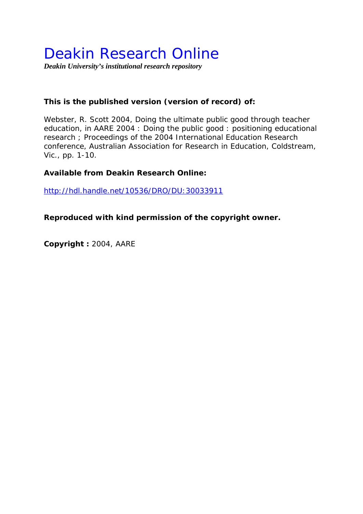# Deakin Research Online

*Deakin University's institutional research repository* 

## **This is the published version (version of record) of:**

Webster, R. Scott 2004, Doing the ultimate public good through teacher education*, in AARE 2004 : Doing the public good : positioning educational research ; Proceedings of the 2004 International Education Research conference*, Australian Association for Research in Education, Coldstream, Vic., pp. 1-10.

## **Available from Deakin Research Online:**

http://hdl.handle.net/10536/DRO/DU:30033911

## **Reproduced with kind permission of the copyright owner.**

**Copyright :** 2004, AARE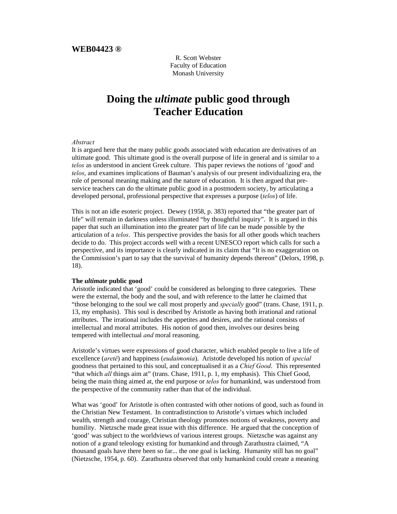R. Scott Webster Faculty of Education Monash University

## **Doing the** *ultimate* **public good through Teacher Education**

#### *Abstract*

It is argued here that the many public goods associated with education are derivatives of an ultimate good. This ultimate good is the overall purpose of life in general and is similar to a *telos* as understood in ancient Greek culture. This paper reviews the notions of 'good' and *telos*, and examines implications of Bauman's analysis of our present individualizing era, the role of personal meaning making and the nature of education. It is then argued that preservice teachers can do the ultimate public good in a postmodern society, by articulating a developed personal, professional perspective that expresses a purpose (*telos*) of life.

This is not an idle esoteric project. Dewey (1958, p. 383) reported that "the greater part of life" will remain in darkness unless illuminated "by thoughtful inquiry". It is argued in this paper that such an illumination into the greater part of life can be made possible by the articulation of a *telos*. This perspective provides the basis for all other goods which teachers decide to do. This project accords well with a recent UNESCO report which calls for such a perspective, and its importance is clearly indicated in its claim that "It is no exaggeration on the Commission's part to say that the survival of humanity depends thereon" (Delors, 1998, p. 18).

#### **The** *ultimate* **public good**

Aristotle indicated that 'good' could be considered as belonging to three categories. These were the external, the body and the soul, and with reference to the latter he claimed that "those belonging to the soul we call most properly and *specially* good" (trans. Chase, 1911, p. 13, my emphasis). This soul is described by Aristotle as having both irrational and rational attributes. The irrational includes the appetites and desires, and the rational consists of intellectual and moral attributes. His notion of good then, involves our desires being tempered with intellectual *and* moral reasoning.

Aristotle's virtues were expressions of good character, which enabled people to live a life of excellence (*aretê*) and happiness (*eudaimonia*). Aristotle developed his notion of *special* goodness that pertained to this soul, and conceptualised it as a *Chief Good*. This represented "that which *all* things aim at" (trans. Chase, 1911, p. 1, my emphasis). This Chief Good, being the main thing aimed at, the end purpose or *telos* for humankind, was understood from the perspective of the community rather than that of the individual.

What was 'good' for Aristotle is often contrasted with other notions of good, such as found in the Christian New Testament. In contradistinction to Aristotle's virtues which included wealth, strength and courage, Christian theology promotes notions of weakness, poverty and humility. Nietzsche made great issue with this difference. He argued that the conception of 'good' was subject to the worldviews of various interest groups. Nietzsche was against any notion of a grand teleology existing for humankind and through Zarathustra claimed, "A thousand goals have there been so far... the one goal is lacking. Humanity still has no goal" (Nietzsche, 1954, p. 60). Zarathustra observed that only humankind could create a meaning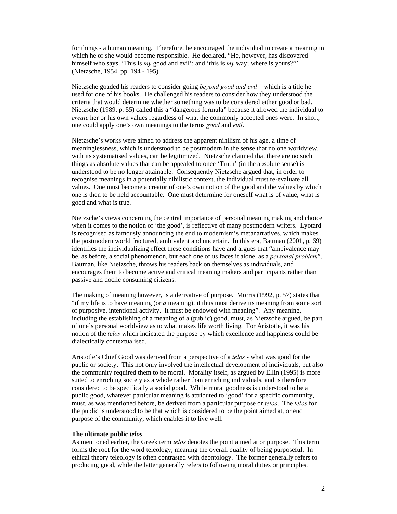for things - a human meaning. Therefore, he encouraged the individual to create a meaning in which he or she would become responsible. He declared, "He, however, has discovered himself who says, 'This is *my* good and evil'; and 'this is *my* way; where is yours?'" (Nietzsche, 1954, pp. 194 - 195).

Nietzsche goaded his readers to consider going *beyond good and evil* – which is a title he used for one of his books. He challenged his readers to consider how they understood the criteria that would determine whether something was to be considered either good or bad. Nietzsche (1989, p. 55) called this a "dangerous formula" because it allowed the individual to *create* her or his own values regardless of what the commonly accepted ones were. In short, one could apply one's own meanings to the terms *good* and *evil*.

Nietzsche's works were aimed to address the apparent nihilism of his age, a time of meaninglessness, which is understood to be postmodern in the sense that no one worldview, with its systematised values, can be legitimized. Nietzsche claimed that there are no such things as absolute values that can be appealed to once 'Truth' (in the absolute sense) is understood to be no longer attainable. Consequently Nietzsche argued that, in order to recognise meanings in a potentially nihilistic context, the individual must re-evaluate all values. One must become a creator of one's own notion of the good and the values by which one is then to be held accountable. One must determine for oneself what is of value, what is good and what is true.

Nietzsche's views concerning the central importance of personal meaning making and choice when it comes to the notion of 'the good', is reflective of many postmodern writers. Lyotard is recognised as famously announcing the end to modernism's metanarratives, which makes the postmodern world fractured, ambivalent and uncertain. In this era, Bauman (2001, p. 69) identifies the individualizing effect these conditions have and argues that "ambivalence may be, as before, a social phenomenon, but each one of us faces it alone, as a *personal problem*". Bauman, like Nietzsche, throws his readers back on themselves as individuals, and encourages them to become active and critical meaning makers and participants rather than passive and docile consuming citizens.

The making of meaning however, is a derivative of purpose. Morris (1992, p. 57) states that "if my life is to have meaning (or *a* meaning), it thus must derive its meaning from some sort of purposive, intentional activity. It must be endowed with meaning". Any meaning, including the establishing of a meaning of a (public) good, must, as Nietzsche argued, be part of one's personal worldview as to what makes life worth living. For Aristotle, it was his notion of the *telos* which indicated the purpose by which excellence and happiness could be dialectically contextualised.

Aristotle's Chief Good was derived from a perspective of a *telos* - what was good for the public or society. This not only involved the intellectual development of individuals, but also the community required them to be moral. Morality itself, as argued by Ellin (1995) is more suited to enriching society as a whole rather than enriching individuals, and is therefore considered to be specifically a social good. While moral goodness is understood to be a public good, whatever particular meaning is attributed to 'good' for a specific community, must, as was mentioned before, be derived from a particular purpose or *telos*. The *telos* for the public is understood to be that which is considered to be the point aimed at, or end purpose of the community, which enables it to live well.

#### **The ultimate public** *telos*

As mentioned earlier, the Greek term *telos* denotes the point aimed at or purpose. This term forms the root for the word teleology, meaning the overall quality of being purposeful. In ethical theory teleology is often contrasted with deontology. The former generally refers to producing good, while the latter generally refers to following moral duties or principles.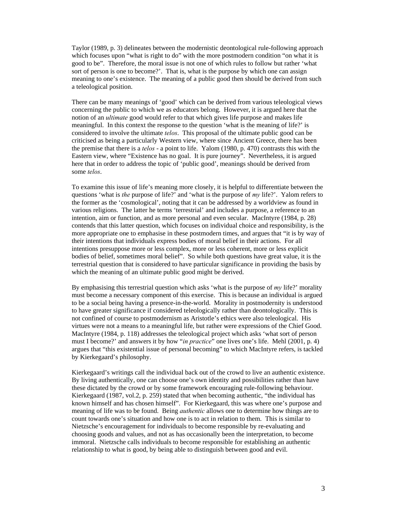Taylor (1989, p. 3) delineates between the modernistic deontological rule-following approach which focuses upon "what is right to do" with the more postmodern condition "on what it is good to be". Therefore, the moral issue is not one of which rules to follow but rather 'what sort of person is one to become?'. That is, what is the purpose by which one can assign meaning to one's existence. The meaning of a public good then should be derived from such a teleological position.

There can be many meanings of 'good' which can be derived from various teleological views concerning the public to which we as educators belong. However, it is argued here that the notion of an *ultimate* good would refer to that which gives life purpose and makes life meaningful. In this context the response to the question 'what is the meaning of life?' is considered to involve the ultimate *telos*. This proposal of the ultimate public good can be criticised as being a particularly Western view, where since Ancient Greece, there has been the premise that there is a *telos* - a point to life. Yalom (1980, p. 470) contrasts this with the Eastern view, where "Existence has no goal. It is pure journey". Nevertheless, it is argued here that in order to address the topic of 'public good', meanings should be derived from some *telos*.

To examine this issue of life's meaning more closely, it is helpful to differentiate between the questions 'what is *the* purpose of life?' and 'what is the purpose of *my* life?'. Yalom refers to the former as the 'cosmological', noting that it can be addressed by a worldview as found in various religions. The latter he terms 'terrestrial' and includes a purpose, a reference to an intention, aim or function, and as more personal and even secular. MacIntyre (1984, p. 28) contends that this latter question, which focuses on individual choice and responsibility, is the more appropriate one to emphasise in these postmodern times, and argues that "it is by way of their intentions that individuals express bodies of moral belief in their actions. For all intentions presuppose more or less complex, more or less coherent, more or less explicit bodies of belief, sometimes moral belief". So while both questions have great value, it is the terrestrial question that is considered to have particular significance in providing the basis by which the meaning of an ultimate public good might be derived.

By emphasising this terrestrial question which asks 'what is the purpose of *my* life?' morality must become a necessary component of this exercise. This is because an individual is argued to be a social being having a presence-in-the-world. Morality in postmodernity is understood to have greater significance if considered teleologically rather than deontologically. This is not confined of course to postmodernism as Aristotle's ethics were also teleological. His virtues were not a means to a meaningful life, but rather were expressions of the Chief Good. MacIntyre (1984, p. 118) addresses the teleological project which asks 'what sort of person must I become?' and answers it by how "*in practice*" one lives one's life. Mehl (2001, p. 4) argues that "this existential issue of personal becoming" to which MacIntyre refers, is tackled by Kierkegaard's philosophy.

Kierkegaard's writings call the individual back out of the crowd to live an authentic existence. By living authentically, one can choose one's own identity and possibilities rather than have these dictated by the crowd or by some framework encouraging rule-following behaviour. Kierkegaard (1987, vol.2, p. 259) stated that when becoming authentic, "the individual has known himself and has chosen himself". For Kierkegaard, this was where one's purpose and meaning of life was to be found. Being *authentic* allows one to determine how things are to count towards one's situation and how one is to act in relation to them. This is similar to Nietzsche's encouragement for individuals to become responsible by re-evaluating and choosing goods and values, and not as has occasionally been the interpretation, to become immoral. Nietzsche calls individuals to become responsible for establishing an authentic relationship to what is good, by being able to distinguish between good and evil.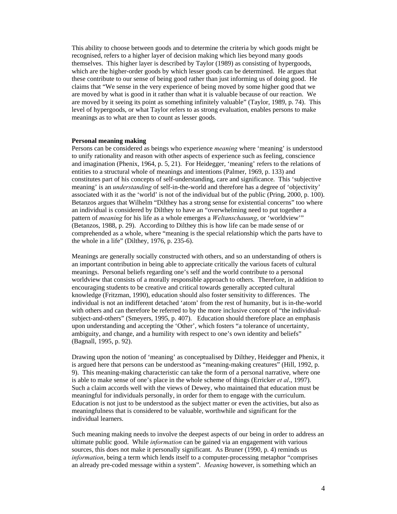This ability to choose between goods and to determine the criteria by which goods might be recognised, refers to a higher layer of decision making which lies beyond many goods themselves. This higher layer is described by Taylor (1989) as consisting of hypergoods, which are the higher-order goods by which lesser goods can be determined. He argues that these contribute to our sense of being good rather than just informing us of doing good. He claims that "We sense in the very experience of being moved by some higher good that we are moved by what is good in it rather than what it is valuable because of our reaction. We are moved by it seeing its point as something infinitely valuable" (Taylor, 1989, p. 74). This level of hypergoods, or what Taylor refers to as strong evaluation, enables persons to make meanings as to what are then to count as lesser goods.

#### **Personal meaning making**

Persons can be considered as beings who experience *meaning* where 'meaning' is understood to unify rationality and reason with other aspects of experience such as feeling, conscience and imagination (Phenix, 1964, p. 5, 21). For Heidegger, 'meaning' refers to the relations of entities to a structural whole of meanings and intentions (Palmer, 1969, p. 133) and constitutes part of his concepts of self-understanding, care and significance. This 'subjective meaning' is an *understanding* of self-in-the-world and therefore has a degree of 'objectivity' associated with it as the 'world' is not of the individual but of the public (Pring, 2000, p. 100). Betanzos argues that Wilhelm "Dilthey has a strong sense for existential concerns" too where an individual is considered by Dilthey to have an "overwhelming need to put together a pattern of *meaning* for his life as a whole emerges a *Weltanschauung*, or 'worldview'" (Betanzos, 1988, p. 29). According to Dilthey this is how life can be made sense of or comprehended as a whole, where "meaning is the special relationship which the parts have to the whole in a life" (Dilthey, 1976, p. 235-6).

Meanings are generally socially constructed with others, and so an understanding of others is an important contribution in being able to appreciate critically the various facets of cultural meanings. Personal beliefs regarding one's self and the world contribute to a personal worldview that consists of a morally responsible approach to others. Therefore, in addition to encouraging students to be creative and critical towards generally accepted cultural knowledge (Fritzman, 1990), education should also foster sensitivity to differences. The individual is not an indifferent detached 'atom' from the rest of humanity, but is in-the-world with others and can therefore be referred to by the more inclusive concept of "the individualsubject-and-others" (Smeyers, 1995, p. 407). Education should therefore place an emphasis upon understanding and accepting the 'Other', which fosters "a tolerance of uncertainty, ambiguity, and change, and a humility with respect to one's own identity and beliefs" (Bagnall, 1995, p. 92).

Drawing upon the notion of 'meaning' as conceptualised by Dilthey, Heidegger and Phenix, it is argued here that persons can be understood as "meaning-making creatures" (Hill, 1992, p. 9). This meaning-making characteristic can take the form of a personal narrative, where one is able to make sense of one's place in the whole scheme of things (Erricker *et al*., 1997). Such a claim accords well with the views of Dewey, who maintained that education must be meaningful for individuals personally, in order for them to engage with the curriculum. Education is not just to be understood as the subject matter or even the activities, but also as meaningfulness that is considered to be valuable, worthwhile and significant for the individual learners.

Such meaning making needs to involve the deepest aspects of our being in order to address an ultimate public good. While *information* can be gained via an engagement with various sources, this does not make it personally significant. As Bruner (1990, p. 4) reminds us *information*, being a term which lends itself to a computer-processing metaphor "comprises an already pre-coded message within a system". *Meaning* however, is something which an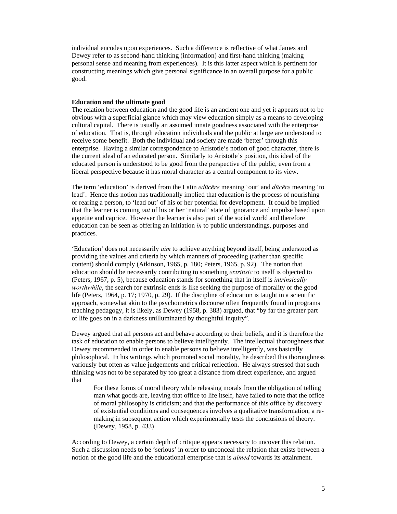individual encodes upon experiences. Such a difference is reflective of what James and Dewey refer to as second-hand thinking (information) and first-hand thinking (making personal sense and meaning from experiences). It is this latter aspect which is pertinent for constructing meanings which give personal significance in an overall purpose for a public good.

#### **Education and the ultimate good**

The relation between education and the good life is an ancient one and yet it appears not to be obvious with a superficial glance which may view education simply as a means to developing cultural capital. There is usually an assumed innate goodness associated with the enterprise of education. That is, through education individuals and the public at large are understood to receive some benefit. Both the individual and society are made 'better' through this enterprise. Having a similar correspondence to Aristotle's notion of good character, there is the current ideal of an educated person. Similarly to Aristotle's position, this ideal of the educated person is understood to be good from the perspective of the public, even from a liberal perspective because it has moral character as a central component to its view.

The term 'education' is derived from the Latin *edūcēre* meaning 'out' and *dūcēre* meaning 'to lead'. Hence this notion has traditionally implied that education is the process of nourishing or rearing a person, to 'lead out' of his or her potential for development. It could be implied that the learner is coming *out* of his or her 'natural' state of ignorance and impulse based upon appetite and caprice. However the learner is also part of the social world and therefore education can be seen as offering an initiation *in* to public understandings, purposes and practices.

'Education' does not necessarily *aim* to achieve anything beyond itself, being understood as providing the values and criteria by which manners of proceeding (rather than specific content) should comply (Atkinson, 1965, p. 180; Peters, 1965, p. 92). The notion that education should be necessarily contributing to something *extrinsic* to itself is objected to (Peters, 1967, p. 5), because education stands for something that in itself is *intrinsically worthwhile*, the search for extrinsic ends is like seeking the purpose of morality or the good life (Peters, 1964, p. 17; 1970, p. 29). If the discipline of education is taught in a scientific approach, somewhat akin to the psychometrics discourse often frequently found in programs teaching pedagogy, it is likely, as Dewey (1958, p. 383) argued, that "by far the greater part of life goes on in a darkness unilluminated by thoughtful inquiry".

Dewey argued that all persons act and behave according to their beliefs, and it is therefore the task of education to enable persons to believe intelligently. The intellectual thoroughness that Dewey recommended in order to enable persons to believe intelligently, was basically philosophical. In his writings which promoted social morality, he described this thoroughness variously but often as value judgements and critical reflection. He always stressed that such thinking was not to be separated by too great a distance from direct experience, and argued that

For these forms of moral theory while releasing morals from the obligation of telling man what goods are, leaving that office to life itself, have failed to note that the office of moral philosophy is criticism; and that the performance of this office by discovery of existential conditions and consequences involves a qualitative transformation, a remaking in subsequent action which experimentally tests the conclusions of theory. (Dewey, 1958, p. 433)

According to Dewey, a certain depth of critique appears necessary to uncover this relation. Such a discussion needs to be 'serious' in order to unconceal the relation that exists between a notion of the good life and the educational enterprise that is *aimed* towards its attainment.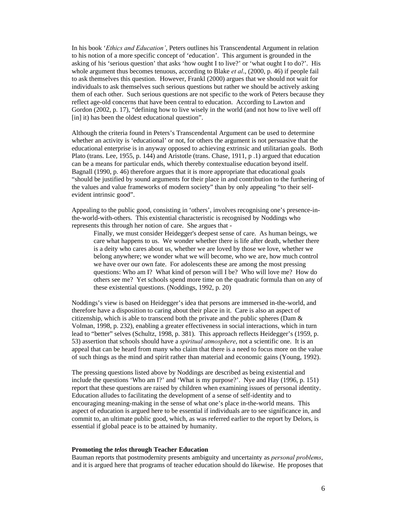In his book '*Ethics and Education'*, Peters outlines his Transcendental Argument in relation to his notion of a more specific concept of 'education'. This argument is grounded in the asking of his 'serious question' that asks 'how ought I to live?' or 'what ought I to do?'. His whole argument thus becomes tenuous, according to Blake *et al*., (2000, p. 46) if people fail to ask themselves this question. However, Frankl (2000) argues that we should not wait for individuals to ask themselves such serious questions but rather we should be actively asking them of each other. Such serious questions are not specific to the work of Peters because they reflect age-old concerns that have been central to education. According to Lawton and Gordon (2002, p. 17), "defining how to live wisely in the world (and not how to live well off [in] it) has been the oldest educational question".

Although the criteria found in Peters's Transcendental Argument can be used to determine whether an activity is 'educational' or not, for others the argument is not persuasive that the educational enterprise is in anyway opposed to achieving extrinsic and utilitarian goals. Both Plato (trans. Lee, 1955, p. 144) and Aristotle (trans. Chase, 1911, p .1) argued that education can be a means for particular ends, which thereby contextualise education beyond itself. Bagnall (1990, p. 46) therefore argues that it is more appropriate that educational goals "should be justified by sound arguments for their place in and contribution to the furthering of the values and value frameworks of modern society" than by only appealing "to their selfevident intrinsic good".

Appealing to the public good, consisting in 'others', involves recognising one's presence-inthe-world-with-others. This existential characteristic is recognised by Noddings who represents this through her notion of care. She argues that -

Finally, we must consider Heidegger's deepest sense of care. As human beings, we care what happens to us. We wonder whether there is life after death, whether there is a deity who cares about us, whether we are loved by those we love, whether we belong anywhere; we wonder what we will become, who we are, how much control we have over our own fate. For adolescents these are among the most pressing questions: Who am I? What kind of person will I be? Who will love me? How do others see me? Yet schools spend more time on the quadratic formula than on any of these existential questions. (Noddings, 1992, p. 20)

Noddings's view is based on Heidegger's idea that persons are immersed in-the-world, and therefore have a disposition to caring about their place in it. Care is also an aspect of citizenship, which is able to transcend both the private and the public spheres (Dam  $\&$ Volman, 1998, p. 232), enabling a greater effectiveness in social interactions, which in turn lead to "better" selves (Schultz, 1998, p. 381). This approach reflects Heidegger's (1959, p. 53) assertion that schools should have a *spiritual atmosphere*, not a scientific one. It is an appeal that can be heard from many who claim that there is a need to focus more on the value of such things as the mind and spirit rather than material and economic gains (Young, 1992).

The pressing questions listed above by Noddings are described as being existential and include the questions 'Who am I?' and 'What is my purpose?'. Nye and Hay (1996, p. 151) report that these questions are raised by children when examining issues of personal identity. Education alludes to facilitating the development of a sense of self-identity and to encouraging meaning-making in the sense of what one's place in-the-world means. This aspect of education is argued here to be essential if individuals are to see significance in, and commit to, an ultimate public good, which, as was referred earlier to the report by Delors, is essential if global peace is to be attained by humanity.

#### **Promoting the** *telos* **through Teacher Education**

Bauman reports that postmodernity presents ambiguity and uncertainty as *personal problems*, and it is argued here that programs of teacher education should do likewise. He proposes that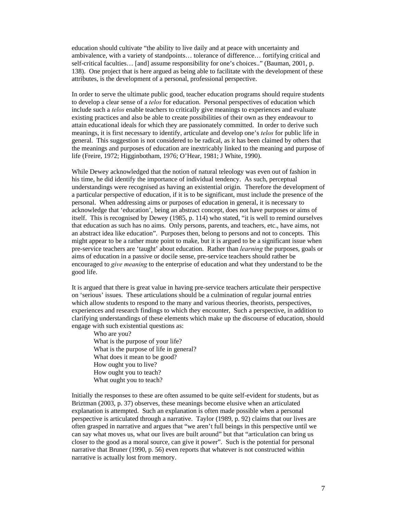education should cultivate "the ability to live daily and at peace with uncertainty and ambivalence, with a variety of standpoints… tolerance of difference… fortifying critical and self-critical faculties… [and] assume responsibility for one's choices.." (Bauman, 2001, p. 138). One project that is here argued as being able to facilitate with the development of these attributes, is the development of a personal, professional perspective.

In order to serve the ultimate public good, teacher education programs should require students to develop a clear sense of a *telos* for education. Personal perspectives of education which include such a *telos* enable teachers to critically give meanings to experiences and evaluate existing practices and also be able to create possibilities of their own as they endeavour to attain educational ideals for which they are passionately committed. In order to derive such meanings, it is first necessary to identify, articulate and develop one's *telos* for public life in general. This suggestion is not considered to be radical, as it has been claimed by others that the meanings and purposes of education are inextricably linked to the meaning and purpose of life (Freire, 1972; Higginbotham, 1976; O'Hear, 1981; J White, 1990).

While Dewey acknowledged that the notion of natural teleology was even out of fashion in his time, he did identify the importance of individual tendency. As such, perceptual understandings were recognised as having an existential origin. Therefore the development of a particular perspective of education, if it is to be significant, must include the presence of the personal. When addressing aims or purposes of education in general, it is necessary to acknowledge that 'education', being an abstract concept, does not have purposes or aims of itself. This is recognised by Dewey (1985, p. 114) who stated, "it is well to remind ourselves that education as such has no aims. Only persons, parents, and teachers, etc., have aims, not an abstract idea like education". Purposes then, belong to persons and not to concepts. This might appear to be a rather mute point to make, but it is argued to be a significant issue when pre-service teachers are 'taught' about education. Rather than *learning* the purposes, goals or aims of education in a passive or docile sense, pre-service teachers should rather be encouraged to *give meaning* to the enterprise of education and what they understand to be the good life.

It is argued that there is great value in having pre-service teachers articulate their perspective on 'serious' issues. These articulations should be a culmination of regular journal entries which allow students to respond to the many and various theories, theorists, perspectives, experiences and research findings to which they encounter, Such a perspective, in addition to clarifying understandings of these elements which make up the discourse of education, should engage with such existential questions as:

Who are you? What is the purpose of your life? What is the purpose of life in general? What does it mean to be good? How ought you to live? How ought you to teach? What ought you to teach?

Initially the responses to these are often assumed to be quite self-evident for students, but as Briztman (2003, p. 37) observes, these meanings become elusive when an articulated explanation is attempted. Such an explanation is often made possible when a personal perspective is articulated through a narrative. Taylor (1989, p. 92) claims that our lives are often grasped in narrative and argues that "we aren't full beings in this perspective until we can say what moves us, what our lives are built around" but that "articulation can bring us closer to the good as a moral source, can give it power". Such is the potential for personal narrative that Bruner (1990, p. 56) even reports that whatever is not constructed within narrative is actually lost from memory.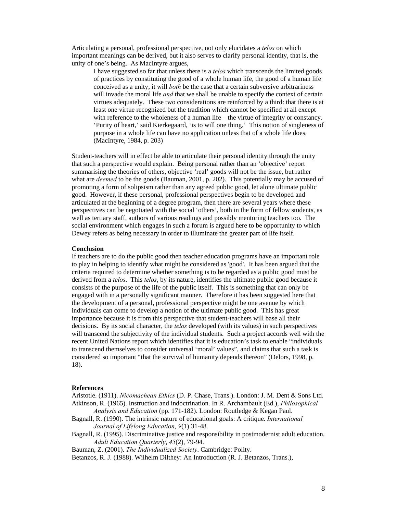Articulating a personal, professional perspective, not only elucidates a *telos* on which important meanings can be derived, but it also serves to clarify personal identity, that is, the unity of one's being. As MacIntyre argues,

I have suggested so far that unless there is a *telos* which transcends the limited goods of practices by constituting the good of a whole human life, the good of a human life conceived as a unity, it will *both* be the case that a certain subversive arbitrariness will invade the moral life *and* that we shall be unable to specify the context of certain virtues adequately. These two considerations are reinforced by a third: that there is at least one virtue recognized but the tradition which cannot be specified at all except with reference to the wholeness of a human life – the virtue of integrity or constancy. 'Purity of heart,' said Kierkegaard, 'is to will one thing.' This notion of singleness of purpose in a whole life can have no application unless that of a whole life does. (MacIntyre, 1984, p. 203)

Student-teachers will in effect be able to articulate their personal identity through the unity that such a perspective would explain. Being personal rather than an 'objective' report summarising the theories of others, objective 'real' goods will not be the issue, but rather what are *deemed* to be the goods (Bauman, 2001, p. 202). This potentially may be accused of promoting a form of solipsism rather than any agreed public good, let alone ultimate public good. However, if these personal, professional perspectives begin to be developed and articulated at the beginning of a degree program, then there are several years where these perspectives can be negotiated with the social 'others', both in the form of fellow students, as well as tertiary staff, authors of various readings and possibly mentoring teachers too. The social environment which engages in such a forum is argued here to be opportunity to which Dewey refers as being necessary in order to illuminate the greater part of life itself.

#### **Conclusion**

If teachers are to do the public good then teacher education programs have an important role to play in helping to identify what might be considered as 'good'. It has been argued that the criteria required to determine whether something is to be regarded as a public good must be derived from a *telos*. This *telos*, by its nature, identifies the ultimate public good because it consists of the purpose of the life of the public itself. This is something that can only be engaged with in a personally significant manner. Therefore it has been suggested here that the development of a personal, professional perspective might be one avenue by which individuals can come to develop a notion of the ultimate public good. This has great importance because it is from this perspective that student-teachers will base all their decisions. By its social character, the *telos* developed (with its values) in such perspectives will transcend the subjectivity of the individual students. Such a project accords well with the recent United Nations report which identifies that it is education's task to enable "individuals to transcend themselves to consider universal 'moral' values", and claims that such a task is considered so important "that the survival of humanity depends thereon" (Delors, 1998, p. 18).

#### **References**

Aristotle. (1911). *Nicomachean Ethics* (D. P. Chase, Trans.). London: J. M. Dent & Sons Ltd. Atkinson, R. (1965). Instruction and indoctrination. In R. Archambault (Ed.), *Philosophical Analysis and Education* (pp. 171-182). London: Routledge & Kegan Paul.

- Bagnall, R. (1990). The intrinsic nature of educational goals: A critique. *International Journal of Lifelong Education*, *9*(1) 31-48.
- Bagnall, R. (1995). Discriminative justice and responsibility in postmodernist adult education. *Adult Education Quarterly*, *45*(2), 79-94.

Bauman, Z. (2001). *The Individualized Society*. Cambridge: Polity.

Betanzos, R. J. (1988). Wilhelm Dilthey: An Introduction (R. J. Betanzos, Trans.),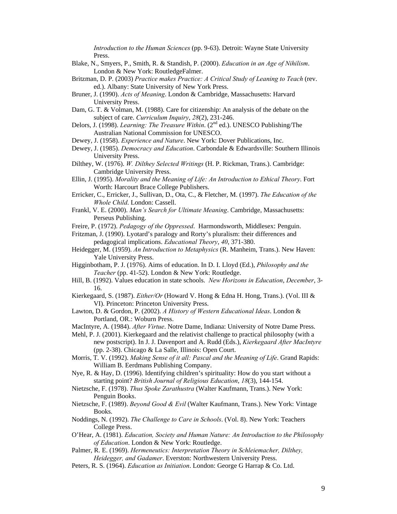*Introduction to the Human Sciences* (pp. 9-63). Detroit: Wayne State University Press.

- Blake, N., Smyers, P., Smith, R. & Standish, P. (2000). *Education in an Age of Nihilism*. London & New York: RoutledgeFalmer.
- Britzman, D. P. (2003) *Practice makes Practice: A Critical Study of Leaning to Teach* (rev. ed.). Albany: State University of New York Press.
- Bruner, J. (1990). *Acts of Meaning*. London & Cambridge, Massachusetts: Harvard University Press.
- Dam, G. T. & Volman, M. (1988). Care for citizenship: An analysis of the debate on the subject of care. *Curriculum Inquiry*, *28*(2), 231-246.
- Delors, J. (1998). *Learning: The Treasure Within*. (2<sup>nd</sup> ed.). UNESCO Publishing/The Australian National Commission for UNESCO.
- Dewey, J. (1958). *Experience and Nature*. New York: Dover Publications, Inc.
- Dewey, J. (1985). *Democracy and Education*. Carbondale & Edwardsville: Southern Illinois University Press.
- Dilthey, W. (1976). *W. Dilthey Selected Writings* (H. P. Rickman, Trans.). Cambridge: Cambridge University Press.
- Ellin, J. (1995). *Morality and the Meaning of Life: An Introduction to Ethical Theory*. Fort Worth: Harcourt Brace College Publishers.
- Erricker, C., Erricker, J., Sullivan, D., Ota, C., & Fletcher, M. (1997). *The Education of the Whole Child*. London: Cassell.
- Frankl, V. E. (2000). *Man's Search for Ultimate Meaning*. Cambridge, Massachusetts: Perseus Publishing.

Freire, P. (1972). *Pedagogy of the Oppressed*. Harmondsworth, Middlesex: Penguin.

- Fritzman, J. (1990). Lyotard's paralogy and Rorty's pluralism: their differences and pedagogical implications. *Educational Theory*, *40*, 371-380.
- Heidegger, M. (1959). *An Introduction to Metaphysics* (R. Manheim, Trans.). New Haven: Yale University Press.
- Higginbotham, P. J. (1976). Aims of education. In D. I. Lloyd (Ed.), *Philosophy and the Teacher* (pp. 41-52). London & New York: Routledge.
- Hill, B. (1992). Values education in state schools. *New Horizons in Education*, *December*, 3- 16.
- Kierkegaard, S. (1987). *Either/Or* (Howard V. Hong & Edna H. Hong, Trans.). (Vol. III & VI). Princeton: Princeton University Press.
- Lawton, D. & Gordon, P. (2002). *A History of Western Educational Ideas*. London & Portland, OR.: Woburn Press.
- MacIntyre, A. (1984). *After Virtue*. Notre Dame, Indiana: University of Notre Dame Press.

Mehl, P. J. (2001). Kierkegaard and the relativist challenge to practical philosophy (with a new postscript). In J. J. Davenport and A. Rudd (Eds.), *Kierkegaard After MacIntyre* (pp. 2-38). Chicago & La Salle, Illinois: Open Court.

Morris, T. V. (1992). *Making Sense of it all: Pascal and the Meaning of Life*. Grand Rapids: William B. Eerdmans Publishing Company.

- Nye, R. & Hay, D. (1996). Identifying children's spirituality: How do you start without a starting point? *British Journal of Religious Education*, *18*(3), 144-154.
- Nietzsche, F. (1978). *Thus Spoke Zarathustra* (Walter Kaufmann, Trans.). New York: Penguin Books.
- Nietzsche, F. (1989). *Beyond Good & Evil* (Walter Kaufmann, Trans.). New York: Vintage Books.
- Noddings, N. (1992). *The Challenge to Care in Schools*. (Vol. 8). New York: Teachers College Press.
- O'Hear, A. (1981). *Education, Society and Human Nature: An Introduction to the Philosophy of Education*. London & New York: Routledge.
- Palmer, R. E. (1969). *Hermeneutics: Interpretation Theory in Schleiemacher, Dilthey, Heidegger, and Gadamer*. Everston: Northwestern University Press.
- Peters, R. S. (1964). *Education as Initiation*. London: George G Harrap & Co. Ltd.